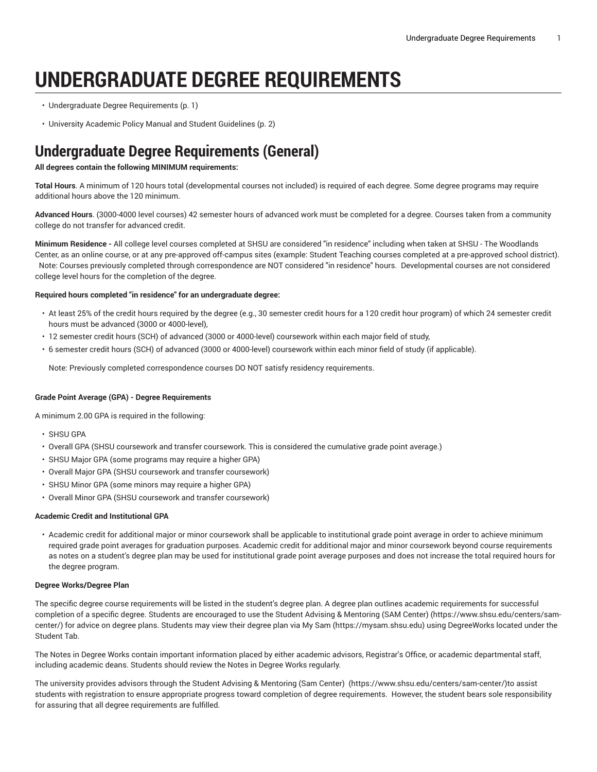# **UNDERGRADUATE DEGREE REQUIREMENTS**

- [Undergraduate](#page-0-0) Degree Requirements [\(p. 1\)](#page-0-0)
- University Academic Policy Manual and Student [Guidelines](#page-1-0) ([p. 2\)](#page-1-0)

## <span id="page-0-0"></span>**Undergraduate Degree Requirements (General)**

### **All degrees contain the following MINIMUM requirements:**

**Total Hours**. A minimum of 120 hours total (developmental courses not included) is required of each degree. Some degree programs may require additional hours above the 120 minimum.

**Advanced Hours**. (3000-4000 level courses) 42 semester hours of advanced work must be completed for a degree. Courses taken from a community college do not transfer for advanced credit.

**Minimum Residence -** All college level courses completed at SHSU are considered "in residence" including when taken at SHSU - The Woodlands Center, as an online course, or at any pre-approved off-campus sites (example: Student Teaching courses completed at a pre-approved school district). Note: Courses previously completed through correspondence are NOT considered "in residence" hours. Developmental courses are not considered college level hours for the completion of the degree.

#### **Required hours completed "in residence" for an undergraduate degree:**

- At least 25% of the credit hours required by the degree (e.g., 30 semester credit hours for a 120 credit hour program) of which 24 semester credit hours must be advanced (3000 or 4000-level),
- 12 semester credit hours (SCH) of advanced (3000 or 4000-level) coursework within each major field of study,
- 6 semester credit hours (SCH) of advanced (3000 or 4000-level) coursework within each minor field of study (if applicable).

Note: Previously completed correspondence courses DO NOT satisfy residency requirements.

#### **Grade Point Average (GPA) - Degree Requirements**

A minimum 2.00 GPA is required in the following:

- SHSU GPA
- Overall GPA (SHSU coursework and transfer coursework. This is considered the cumulative grade point average.)
- SHSU Major GPA (some programs may require a higher GPA)
- Overall Major GPA (SHSU coursework and transfer coursework)
- SHSU Minor GPA (some minors may require a higher GPA)
- Overall Minor GPA (SHSU coursework and transfer coursework)

#### **Academic Credit and Institutional GPA**

• Academic credit for additional major or minor coursework shall be applicable to institutional grade point average in order to achieve minimum required grade point averages for graduation purposes. Academic credit for additional major and minor coursework beyond course requirements as notes on a student's degree plan may be used for institutional grade point average purposes and does not increase the total required hours for the degree program.

#### **Degree Works/Degree Plan**

The specific degree course requirements will be listed in the student's degree plan. A degree plan outlines academic requirements for successful completion of a specific degree. Students are encouraged to use the [Student Advising & Mentoring \(SAM Center\) \(https://www.shsu.edu/centers/sam](https://www.shsu.edu/centers/sam-center/)[center/](https://www.shsu.edu/centers/sam-center/)) for advice on degree plans. Students may view their degree plan via [My Sam](https://mysam.shsu.edu) [\(https://mysam.shsu.edu](https://mysam.shsu.edu)) using DegreeWorks located under the Student Tab.

The Notes in Degree Works contain important information placed by either academic advisors, Registrar's Office, or academic departmental staff, including academic deans. Students should review the Notes in Degree Works regularly.

The university provides advisors through the [Student Advising & Mentoring \(Sam Center\) \(https://www.shsu.edu/centers/sam-center/\)](https://www.shsu.edu/centers/sam-center/)to assist students with registration to ensure appropriate progress toward completion of degree requirements. However, the student bears sole responsibility for assuring that all degree requirements are fulfilled.